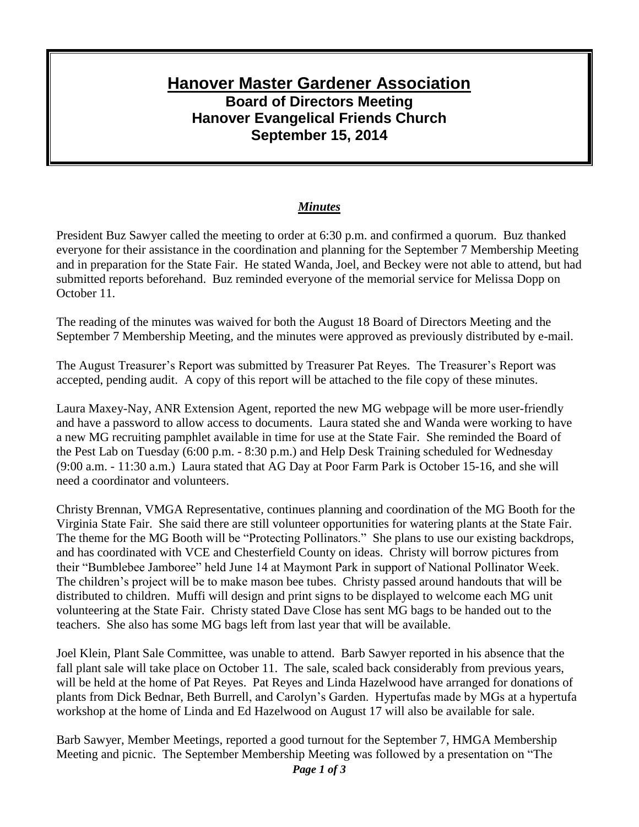## **Hanover Master Gardener Association Board of Directors Meeting Hanover Evangelical Friends Church September 15, 2014**

## *Minutes*

President Buz Sawyer called the meeting to order at 6:30 p.m. and confirmed a quorum. Buz thanked everyone for their assistance in the coordination and planning for the September 7 Membership Meeting and in preparation for the State Fair. He stated Wanda, Joel, and Beckey were not able to attend, but had submitted reports beforehand. Buz reminded everyone of the memorial service for Melissa Dopp on October 11.

The reading of the minutes was waived for both the August 18 Board of Directors Meeting and the September 7 Membership Meeting, and the minutes were approved as previously distributed by e-mail.

The August Treasurer's Report was submitted by Treasurer Pat Reyes. The Treasurer's Report was accepted, pending audit. A copy of this report will be attached to the file copy of these minutes.

Laura Maxey-Nay, ANR Extension Agent, reported the new MG webpage will be more user-friendly and have a password to allow access to documents. Laura stated she and Wanda were working to have a new MG recruiting pamphlet available in time for use at the State Fair. She reminded the Board of the Pest Lab on Tuesday (6:00 p.m. - 8:30 p.m.) and Help Desk Training scheduled for Wednesday (9:00 a.m. - 11:30 a.m.) Laura stated that AG Day at Poor Farm Park is October 15-16, and she will need a coordinator and volunteers.

Christy Brennan, VMGA Representative, continues planning and coordination of the MG Booth for the Virginia State Fair. She said there are still volunteer opportunities for watering plants at the State Fair. The theme for the MG Booth will be "Protecting Pollinators." She plans to use our existing backdrops, and has coordinated with VCE and Chesterfield County on ideas. Christy will borrow pictures from their "Bumblebee Jamboree" held June 14 at Maymont Park in support of National Pollinator Week. The children's project will be to make mason bee tubes. Christy passed around handouts that will be distributed to children. Muffi will design and print signs to be displayed to welcome each MG unit volunteering at the State Fair. Christy stated Dave Close has sent MG bags to be handed out to the teachers. She also has some MG bags left from last year that will be available.

Joel Klein, Plant Sale Committee, was unable to attend. Barb Sawyer reported in his absence that the fall plant sale will take place on October 11. The sale, scaled back considerably from previous years, will be held at the home of Pat Reyes. Pat Reyes and Linda Hazelwood have arranged for donations of plants from Dick Bednar, Beth Burrell, and Carolyn's Garden. Hypertufas made by MGs at a hypertufa workshop at the home of Linda and Ed Hazelwood on August 17 will also be available for sale.

*Page 1 of 3* Barb Sawyer, Member Meetings, reported a good turnout for the September 7, HMGA Membership Meeting and picnic. The September Membership Meeting was followed by a presentation on "The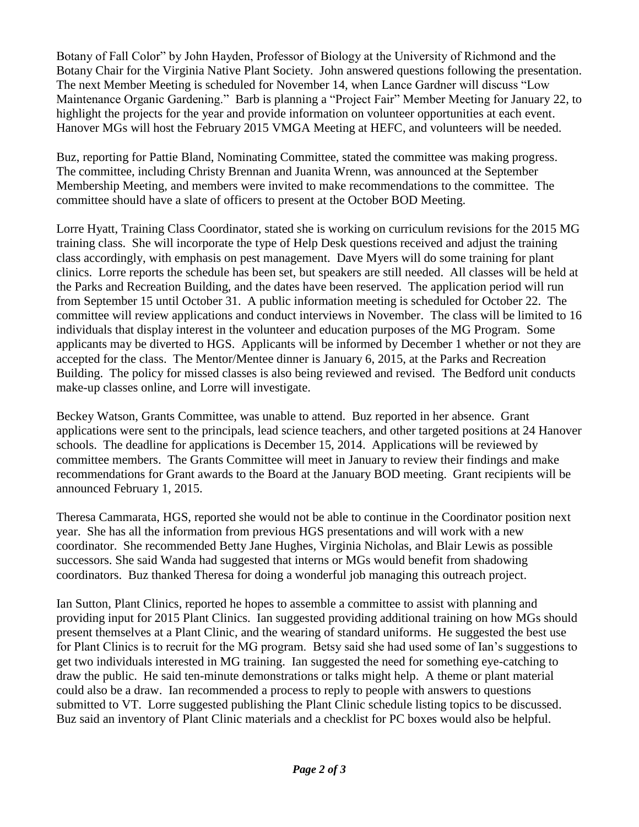Botany of Fall Color" by John Hayden, Professor of Biology at the University of Richmond and the Botany Chair for the Virginia Native Plant Society. John answered questions following the presentation. The next Member Meeting is scheduled for November 14, when Lance Gardner will discuss "Low Maintenance Organic Gardening." Barb is planning a "Project Fair" Member Meeting for January 22, to highlight the projects for the year and provide information on volunteer opportunities at each event. Hanover MGs will host the February 2015 VMGA Meeting at HEFC, and volunteers will be needed.

Buz, reporting for Pattie Bland, Nominating Committee, stated the committee was making progress. The committee, including Christy Brennan and Juanita Wrenn, was announced at the September Membership Meeting, and members were invited to make recommendations to the committee. The committee should have a slate of officers to present at the October BOD Meeting.

Lorre Hyatt, Training Class Coordinator, stated she is working on curriculum revisions for the 2015 MG training class. She will incorporate the type of Help Desk questions received and adjust the training class accordingly, with emphasis on pest management. Dave Myers will do some training for plant clinics. Lorre reports the schedule has been set, but speakers are still needed. All classes will be held at the Parks and Recreation Building, and the dates have been reserved. The application period will run from September 15 until October 31. A public information meeting is scheduled for October 22. The committee will review applications and conduct interviews in November. The class will be limited to 16 individuals that display interest in the volunteer and education purposes of the MG Program. Some applicants may be diverted to HGS. Applicants will be informed by December 1 whether or not they are accepted for the class. The Mentor/Mentee dinner is January 6, 2015, at the Parks and Recreation Building. The policy for missed classes is also being reviewed and revised. The Bedford unit conducts make-up classes online, and Lorre will investigate.

Beckey Watson, Grants Committee, was unable to attend. Buz reported in her absence. Grant applications were sent to the principals, lead science teachers, and other targeted positions at 24 Hanover schools. The deadline for applications is December 15, 2014. Applications will be reviewed by committee members. The Grants Committee will meet in January to review their findings and make recommendations for Grant awards to the Board at the January BOD meeting. Grant recipients will be announced February 1, 2015.

Theresa Cammarata, HGS, reported she would not be able to continue in the Coordinator position next year. She has all the information from previous HGS presentations and will work with a new coordinator. She recommended Betty Jane Hughes, Virginia Nicholas, and Blair Lewis as possible successors. She said Wanda had suggested that interns or MGs would benefit from shadowing coordinators. Buz thanked Theresa for doing a wonderful job managing this outreach project.

Ian Sutton, Plant Clinics, reported he hopes to assemble a committee to assist with planning and providing input for 2015 Plant Clinics. Ian suggested providing additional training on how MGs should present themselves at a Plant Clinic, and the wearing of standard uniforms. He suggested the best use for Plant Clinics is to recruit for the MG program. Betsy said she had used some of Ian's suggestions to get two individuals interested in MG training. Ian suggested the need for something eye-catching to draw the public. He said ten-minute demonstrations or talks might help. A theme or plant material could also be a draw. Ian recommended a process to reply to people with answers to questions submitted to VT. Lorre suggested publishing the Plant Clinic schedule listing topics to be discussed. Buz said an inventory of Plant Clinic materials and a checklist for PC boxes would also be helpful.